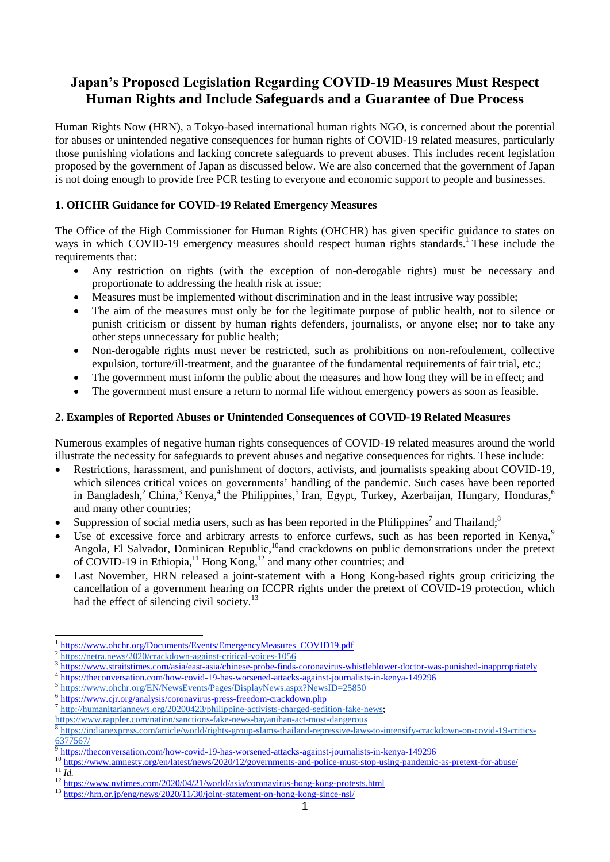# **Japan's Proposed Legislation Regarding COVID-19 Measures Must Respect Human Rights and Include Safeguards and a Guarantee of Due Process**

Human Rights Now (HRN), a Tokyo-based international human rights NGO, is concerned about the potential for abuses or unintended negative consequences for human rights of COVID-19 related measures, particularly those punishing violations and lacking concrete safeguards to prevent abuses. This includes recent legislation proposed by the government of Japan as discussed below. We are also concerned that the government of Japan is not doing enough to provide free PCR testing to everyone and economic support to people and businesses.

## **1. OHCHR Guidance for COVID-19 Related Emergency Measures**

The Office of the High Commissioner for Human Rights (OHCHR) has given specific guidance to states on ways in which COVID-19 emergency measures should respect human rights standards.<sup>1</sup> These include the requirements that:

- Any restriction on rights (with the exception of non-derogable rights) must be necessary and proportionate to addressing the health risk at issue;
- Measures must be implemented without discrimination and in the least intrusive way possible;
- The aim of the measures must only be for the legitimate purpose of public health, not to silence or punish criticism or dissent by human rights defenders, journalists, or anyone else; nor to take any other steps unnecessary for public health;
- Non-derogable rights must never be restricted, such as prohibitions on non-refoulement, collective expulsion, torture/ill-treatment, and the guarantee of the fundamental requirements of fair trial, etc.;
- The government must inform the public about the measures and how long they will be in effect; and
- The government must ensure a return to normal life without emergency powers as soon as feasible.

### **2. Examples of Reported Abuses or Unintended Consequences of COVID-19 Related Measures**

Numerous examples of negative human rights consequences of COVID-19 related measures around the world illustrate the necessity for safeguards to prevent abuses and negative consequences for rights. These include:

- Restrictions, harassment, and punishment of doctors, activists, and journalists speaking about COVID-19, which silences critical voices on governments' handling of the pandemic. Such cases have been reported in Bangladesh,<sup>2</sup> China,<sup>3</sup> Kenya,<sup>4</sup> the Philippines,<sup>5</sup> Iran, Egypt, Turkey, Azerbaijan, Hungary, Honduras,<sup>6</sup> and many other countries;
- Suppression of social media users, such as has been reported in the Philippines<sup>7</sup> and Thailand;
- $\bullet$  Use of excessive force and arbitrary arrests to enforce curfews, such as has been reported in Kenya,<sup>9</sup> Angola, El Salvador, Dominican Republic,<sup>10</sup>and crackdowns on public demonstrations under the pretext of COVID-19 in Ethiopia,<sup>11</sup> Hong Kong,<sup>12</sup> and many other countries; and
- Last November, HRN released a joint-statement with a Hong Kong-based rights group criticizing the cancellation of a government hearing on ICCPR rights under the pretext of COVID-19 protection, which had the effect of silencing civil society.<sup>13</sup>

 1 [https://www.ohchr.org/Documents/Events/EmergencyMeasures\\_COVID19.pdf](https://www.ohchr.org/Documents/Events/EmergencyMeasures_COVID19.pdf)

<sup>&</sup>lt;sup>2</sup> <https://netra.news/2020/crackdown-against-critical-voices-1056>

<sup>&</sup>lt;sup>3</sup><https://www.straitstimes.com/asia/east-asia/chinese-probe-finds-coronavirus-whistleblower-doctor-was-punished-inappropriately>

<sup>4</sup> <https://theconversation.com/how-covid-19-has-worsened-attacks-against-journalists-in-kenya-149296>

<sup>&</sup>lt;sup>5</sup> <https://www.ohchr.org/EN/NewsEvents/Pages/DisplayNews.aspx?NewsID=25850>

<sup>&</sup>lt;sup>6</sup> <https://www.cjr.org/analysis/coronavirus-press-freedom-crackdown.php>

<sup>&</sup>lt;sup>7</sup> [http://humanitariannews.org/20200423/philippine-activists-charged-sedition-fake-news;](http://humanitariannews.org/20200423/philippine-activists-charged-sedition-fake-news)

<https://www.rappler.com/nation/sanctions-fake-news-bayanihan-act-most-dangerous><br><sup>8</sup> https://indianaypress.com/article/world/rights\_group\_slams\_theiland\_rappesive\_law

[https://indianexpress.com/article/world/rights-group-slams-thailand-repressive-laws-to-intensify-crackdown-on-covid-19-critics-](https://indianexpress.com/article/world/rights-group-slams-thailand-repressive-laws-to-intensify-crackdown-on-covid-19-critics-6377567/)[6377567/](https://indianexpress.com/article/world/rights-group-slams-thailand-repressive-laws-to-intensify-crackdown-on-covid-19-critics-6377567/)

<sup>9</sup> <https://theconversation.com/how-covid-19-has-worsened-attacks-against-journalists-in-kenya-149296>

<sup>&</sup>lt;sup>10</sup> <https://www.amnesty.org/en/latest/news/2020/12/governments-and-police-must-stop-using-pandemic-as-pretext-for-abuse/>  $^{11}$ *Id.* 

<sup>&</sup>lt;sup>12</sup> <https://www.nytimes.com/2020/04/21/world/asia/coronavirus-hong-kong-protests.html>

<sup>13</sup> <https://hrn.or.jp/eng/news/2020/11/30/joint-statement-on-hong-kong-since-nsl/>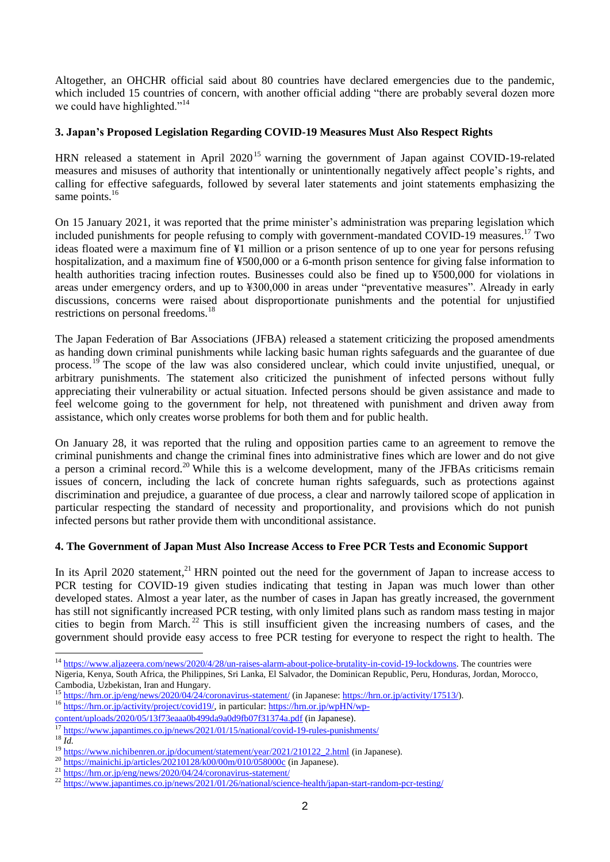Altogether, an OHCHR official said about 80 countries have declared emergencies due to the pandemic, which included 15 countries of concern, with another official adding "there are probably several dozen more we could have highlighted."<sup>14</sup>

#### **3. Japan's Proposed Legislation Regarding COVID-19 Measures Must Also Respect Rights**

HRN released a statement in April 2020<sup>15</sup> warning the government of Japan against COVID-19-related measures and misuses of authority that intentionally or unintentionally negatively affect people's rights, and calling for effective safeguards, followed by several later statements and joint statements emphasizing the same points. 16

On 15 January 2021, it was reported that the prime minister's administration was preparing legislation which included punishments for people refusing to comply with government-mandated COVID-19 measures.<sup>17</sup> Two ideas floated were a maximum fine of ¥1 million or a prison sentence of up to one year for persons refusing hospitalization, and a maximum fine of ¥500,000 or a 6-month prison sentence for giving false information to health authorities tracing infection routes. Businesses could also be fined up to ¥500,000 for violations in areas under emergency orders, and up to ¥300,000 in areas under "preventative measures". Already in early discussions, concerns were raised about disproportionate punishments and the potential for unjustified restrictions on personal freedoms.<sup>18</sup>

The Japan Federation of Bar Associations (JFBA) released a statement criticizing the proposed amendments as handing down criminal punishments while lacking basic human rights safeguards and the guarantee of due process.<sup>19</sup> The scope of the law was also considered unclear, which could invite unjustified, unequal, or arbitrary punishments. The statement also criticized the punishment of infected persons without fully appreciating their vulnerability or actual situation. Infected persons should be given assistance and made to feel welcome going to the government for help, not threatened with punishment and driven away from assistance, which only creates worse problems for both them and for public health.

On January 28, it was reported that the ruling and opposition parties came to an agreement to remove the criminal punishments and change the criminal fines into administrative fines which are lower and do not give a person a criminal record.<sup>20</sup> While this is a welcome development, many of the JFBAs criticisms remain issues of concern, including the lack of concrete human rights safeguards, such as protections against discrimination and prejudice, a guarantee of due process, a clear and narrowly tailored scope of application in particular respecting the standard of necessity and proportionality, and provisions which do not punish infected persons but rather provide them with unconditional assistance.

#### **4. The Government of Japan Must Also Increase Access to Free PCR Tests and Economic Support**

In its April 2020 statement, $^{21}$  HRN pointed out the need for the government of Japan to increase access to PCR testing for COVID-19 given studies indicating that testing in Japan was much lower than other developed states. Almost a year later, as the number of cases in Japan has greatly increased, the government has still not significantly increased PCR testing, with only limited plans such as random mass testing in major cities to begin from March. <sup>22</sup> This is still insufficient given the increasing numbers of cases, and the government should provide easy access to free PCR testing for everyone to respect the right to health. The

<sup>16</sup> [https://hrn.or.jp/activity/project/covid19/,](https://hrn.or.jp/activity/project/covid19/) in particular: [https://hrn.or.jp/wpHN/wp-](https://hrn.or.jp/wpHN/wp-content/uploads/2020/05/13f73eaaa0b499da9a0d9fb07f31374a.pdf)

<sup>18</sup> *Id.*

<sup>&</sup>lt;sup>14</sup> [https://www.aljazeera.com/news/2020/4/28/un-raises-alarm-about-police-brutality-in-covid-19-lockdowns.](https://www.aljazeera.com/news/2020/4/28/un-raises-alarm-about-police-brutality-in-covid-19-lockdowns) The countries were Nigeria, Kenya, South Africa, the Philippines, Sri Lanka, El Salvador, the Dominican Republic, Peru, Honduras, Jordan, Morocco, Cambodia, Uzbekistan, Iran and Hungary.

<sup>&</sup>lt;sup>15</sup> <https://hrn.or.jp/eng/news/2020/04/24/coronavirus-statement/> (in Japanese[: https://hrn.or.jp/activity/17513/\)](https://hrn.or.jp/activity/17513/).

[content/uploads/2020/05/13f73eaaa0b499da9a0d9fb07f31374a.pdf](https://hrn.or.jp/wpHN/wp-content/uploads/2020/05/13f73eaaa0b499da9a0d9fb07f31374a.pdf) (in Japanese).

<https://www.japantimes.co.jp/news/2021/01/15/national/covid-19-rules-punishments/>

<sup>&</sup>lt;sup>19</sup> https://www.nichiben<u>ren.or.jp/document/statement/year/2021/210122\_2.html</u> (in Japanese).

<sup>&</sup>lt;sup>20</sup> <https://mainichi.jp/articles/20210128/k00/00m/010/058000c> (in Japanese).

<sup>&</sup>lt;sup>21</sup> <https://hrn.or.jp/eng/news/2020/04/24/coronavirus-statement/>

<sup>&</sup>lt;sup>22</sup> <https://www.japantimes.co.jp/news/2021/01/26/national/science-health/japan-start-random-pcr-testing/>